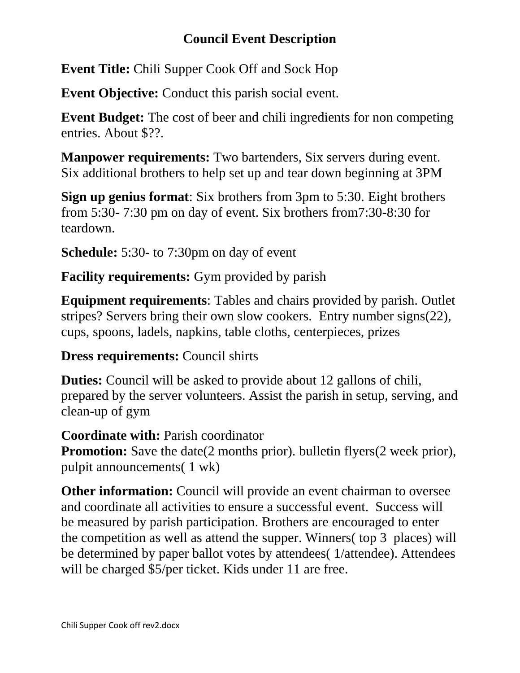## **Council Event Description**

**Event Title:** Chili Supper Cook Off and Sock Hop

**Event Objective:** Conduct this parish social event.

**Event Budget:** The cost of beer and chili ingredients for non competing entries. About \$??.

**Manpower requirements:** Two bartenders, Six servers during event. Six additional brothers to help set up and tear down beginning at 3PM

**Sign up genius format**: Six brothers from 3pm to 5:30. Eight brothers from 5:30- 7:30 pm on day of event. Six brothers from7:30-8:30 for teardown.

**Schedule:** 5:30- to 7:30pm on day of event

**Facility requirements:** Gym provided by parish

**Equipment requirements**: Tables and chairs provided by parish. Outlet stripes? Servers bring their own slow cookers. Entry number signs(22), cups, spoons, ladels, napkins, table cloths, centerpieces, prizes

**Dress requirements:** Council shirts

**Duties:** Council will be asked to provide about 12 gallons of chili, prepared by the server volunteers. Assist the parish in setup, serving, and clean-up of gym

**Coordinate with:** Parish coordinator

**Promotion:** Save the date(2 months prior). bulletin flyers(2 week prior), pulpit announcements( 1 wk)

**Other information:** Council will provide an event chairman to oversee and coordinate all activities to ensure a successful event. Success will be measured by parish participation. Brothers are encouraged to enter the competition as well as attend the supper. Winners( top 3 places) will be determined by paper ballot votes by attendees( 1/attendee). Attendees will be charged \$5/per ticket. Kids under 11 are free.